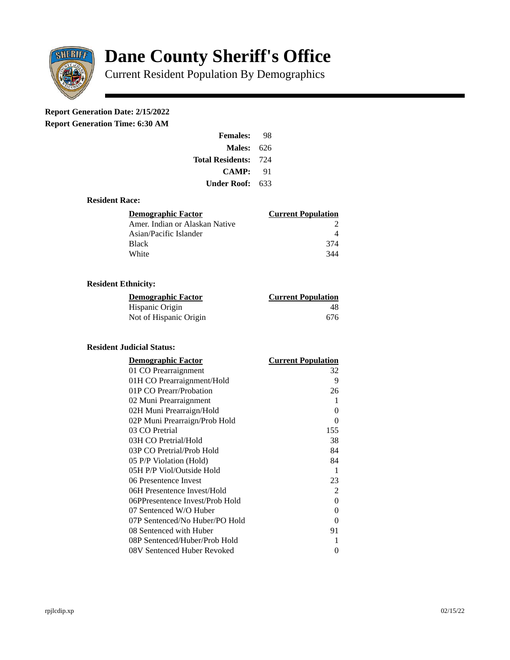

# **Dane County Sheriff's Office**

Current Resident Population By Demographics

# **Report Generation Date: 2/15/2022**

**Report Generation Time: 6:30 AM** 

| <b>Females:</b>         | 98  |
|-------------------------|-----|
| Males:                  | 626 |
| <b>Total Residents:</b> | 724 |
| CAMP:                   | 91  |
| Under Roof: \           | 633 |

### **Resident Race:**

| Demographic Factor             | <b>Current Population</b> |
|--------------------------------|---------------------------|
| Amer. Indian or Alaskan Native |                           |
| Asian/Pacific Islander         |                           |
| <b>Black</b>                   | 374                       |
| White                          | 344                       |

# **Resident Ethnicity:**

| <u>Demographic Factor</u> | <b>Current Population</b> |
|---------------------------|---------------------------|
| Hispanic Origin           | 48                        |
| Not of Hispanic Origin    | 676                       |

#### **Resident Judicial Status:**

| <b>Demographic Factor</b>       | <b>Current Population</b> |
|---------------------------------|---------------------------|
| 01 CO Prearraignment            | 32                        |
| 01H CO Prearraignment/Hold      | 9                         |
| 01P CO Prearr/Probation         | 26                        |
| 02 Muni Prearraignment          | 1                         |
| 02H Muni Prearraign/Hold        | 0                         |
| 02P Muni Prearraign/Prob Hold   | 0                         |
| 03 CO Pretrial                  | 155                       |
| 03H CO Pretrial/Hold            | 38                        |
| 03P CO Pretrial/Prob Hold       | 84                        |
| 05 P/P Violation (Hold)         | 84                        |
| 05H P/P Viol/Outside Hold       | 1                         |
| 06 Presentence Invest           | 23                        |
| 06H Presentence Invest/Hold     | 2                         |
| 06PPresentence Invest/Prob Hold | 0                         |
| 07 Sentenced W/O Huber          | 0                         |
| 07P Sentenced/No Huber/PO Hold  | 0                         |
| 08 Sentenced with Huber         | 91                        |
| 08P Sentenced/Huber/Prob Hold   | 1                         |
| 08V Sentenced Huber Revoked     | 0                         |